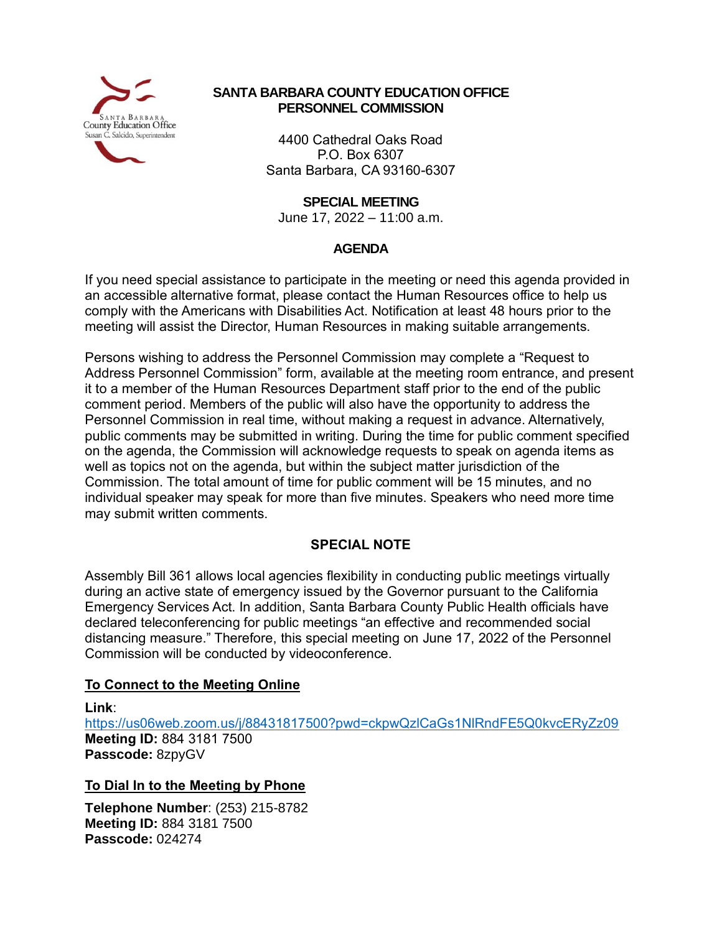

### **SANTA BARBARA COUNTY EDUCATION OFFICE PERSONNEL COMMISSION**

4400 Cathedral Oaks Road P.O. Box 6307 Santa Barbara, CA 93160-6307

**SPECIAL MEETING**

June 17, 2022 – 11:00 a.m.

### **AGENDA**

If you need special assistance to participate in the meeting or need this agenda provided in an accessible alternative format, please contact the Human Resources office to help us comply with the Americans with Disabilities Act. Notification at least 48 hours prior to the meeting will assist the Director, Human Resources in making suitable arrangements.

Persons wishing to address the Personnel Commission may complete a "Request to Address Personnel Commission" form, available at the meeting room entrance, and present it to a member of the Human Resources Department staff prior to the end of the public comment period. Members of the public will also have the opportunity to address the Personnel Commission in real time, without making a request in advance. Alternatively, public comments may be submitted in writing. During the time for public comment specified on the agenda, the Commission will acknowledge requests to speak on agenda items as well as topics not on the agenda, but within the subject matter jurisdiction of the Commission. The total amount of time for public comment will be 15 minutes, and no individual speaker may speak for more than five minutes. Speakers who need more time may submit written comments.

# **SPECIAL NOTE**

Assembly Bill 361 allows local agencies flexibility in conducting public meetings virtually during an active state of emergency issued by the Governor pursuant to the California Emergency Services Act. In addition, Santa Barbara County Public Health officials have declared teleconferencing for public meetings "an effective and recommended social distancing measure." Therefore, this special meeting on June 17, 2022 of the Personnel Commission will be conducted by videoconference.

# **To Connect to the Meeting Online**

**Link**: <https://us06web.zoom.us/j/88431817500?pwd=ckpwQzlCaGs1NlRndFE5Q0kvcERyZz09> **Meeting ID:** 884 3181 7500 **Passcode:** 8zpyGV

# **To Dial In to the Meeting by Phone**

**Telephone Number**: (253) 215-8782 **Meeting ID:** 884 3181 7500 **Passcode:** 024274